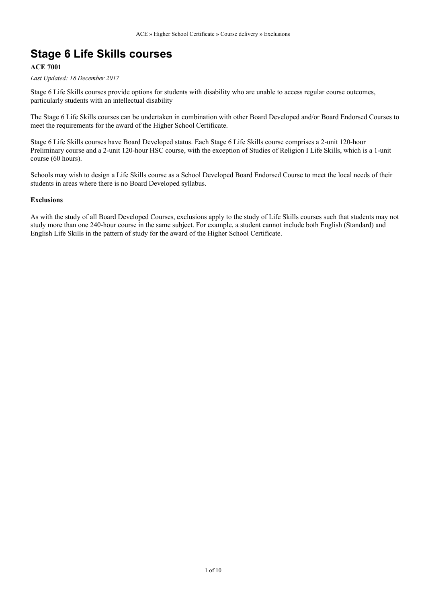### **Stage 6 Life Skills courses**

#### **ACE 7001**

*Last Updated: 18 December 2017*

Stage 6 Life Skills courses provide options for students with disability who are unable to access regular course outcomes, particularly students with an intellectual disability

The Stage 6 Life Skills courses can be undertaken in combination with other Board Developed and/or Board Endorsed Courses to meet the requirements for the award of the Higher School Certificate.

Stage 6 Life Skills courses have Board Developed status. Each Stage 6 Life Skills course comprises a 2-unit 120-hour Preliminary course and a 2-unit 120-hour HSC course, with the exception of Studies of Religion I Life Skills, which is a 1-unit course (60 hours).

Schools may wish to design a Life Skills course as a School Developed Board Endorsed Course to meet the local needs of their students in areas where there is no Board Developed syllabus.

#### **Exclusions**

As with the study of all Board Developed Courses, exclusions apply to the study of Life Skills courses such that students may not study more than one 240-hour course in the same subject. For example, a student cannot include both English (Standard) and English Life Skills in the pattern of study for the award of the Higher School Certificate.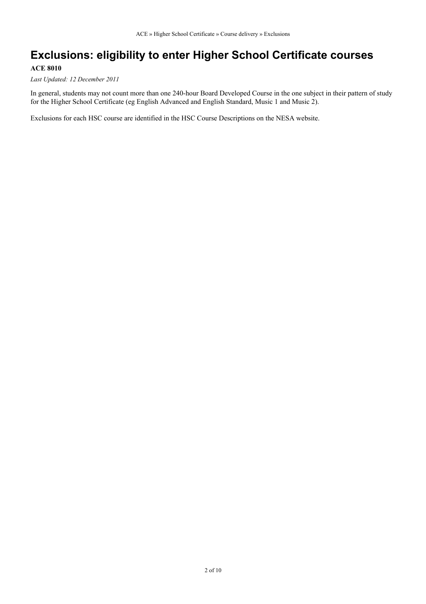### **Exclusions: eligibility to enter Higher School Certificate courses**

#### **ACE 8010**

*Last Updated: 12 December 2011*

In general, students may not count more than one 240-hour Board Developed Course in the one subject in their pattern of study for the Higher School Certificate (eg English Advanced and English Standard, Music 1 and Music 2).

Exclusions for each HSC course are identified in the HSC Course Descriptions on the NESA website.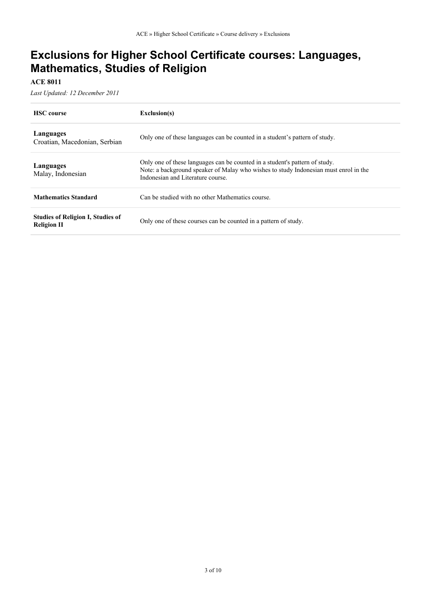### **Exclusions for Higher School Certificate courses: Languages, Mathematics, Studies of Religion**

**ACE 8011**

*Last Updated: 12 December 2011*

| <b>HSC</b> course                                              | Exclusion(s)                                                                                                                                                                                            |
|----------------------------------------------------------------|---------------------------------------------------------------------------------------------------------------------------------------------------------------------------------------------------------|
| Languages<br>Croatian, Macedonian, Serbian                     | Only one of these languages can be counted in a student's pattern of study.                                                                                                                             |
| Languages<br>Malay, Indonesian                                 | Only one of these languages can be counted in a student's pattern of study.<br>Note: a background speaker of Malay who wishes to study Indonesian must enrol in the<br>Indonesian and Literature course |
| <b>Mathematics Standard</b>                                    | Can be studied with no other Mathematics course.                                                                                                                                                        |
| <b>Studies of Religion I, Studies of</b><br><b>Religion II</b> | Only one of these courses can be counted in a pattern of study.                                                                                                                                         |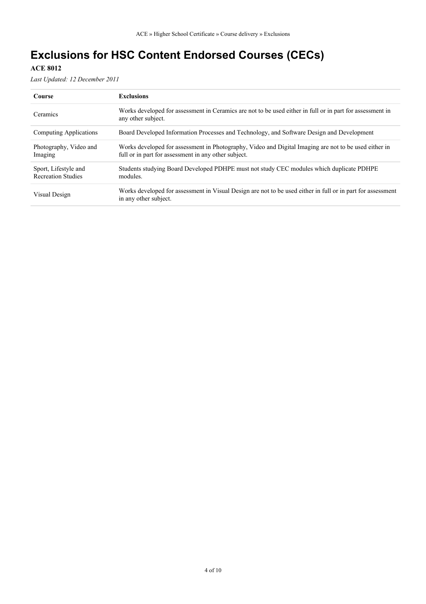# **Exclusions for HSC Content Endorsed Courses (CECs)**

#### **ACE 8012**

*Last Updated: 12 December 2011*

| Course                                            | <b>Exclusions</b>                                                                                                                                             |
|---------------------------------------------------|---------------------------------------------------------------------------------------------------------------------------------------------------------------|
| Ceramics                                          | Works developed for assessment in Ceramics are not to be used either in full or in part for assessment in<br>any other subject.                               |
| Computing Applications                            | Board Developed Information Processes and Technology, and Software Design and Development                                                                     |
| Photography, Video and<br>Imaging                 | Works developed for assessment in Photography, Video and Digital Imaging are not to be used either in<br>full or in part for assessment in any other subject. |
| Sport, Lifestyle and<br><b>Recreation Studies</b> | Students studying Board Developed PDHPE must not study CEC modules which duplicate PDHPE<br>modules.                                                          |
| Visual Design                                     | Works developed for assessment in Visual Design are not to be used either in full or in part for assessment<br>in any other subject.                          |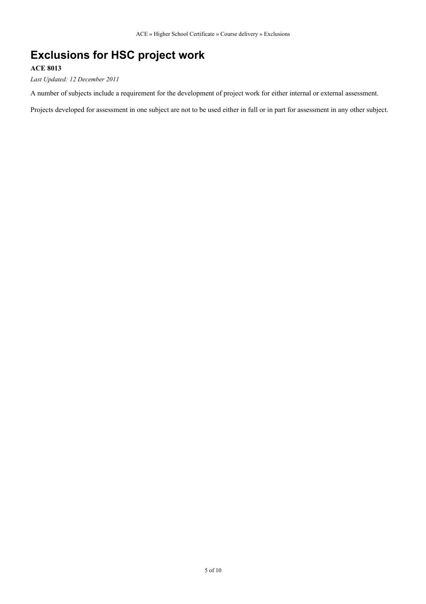### **Exclusions for HSC project work**

#### **ACE 8013**

*Last Updated: 12 December 2011*

A number of subjects include a requirement for the development of project work for either internal or external assessment.

Projects developed for assessment in one subject are not to be used either in full or in part for assessment in any other subject.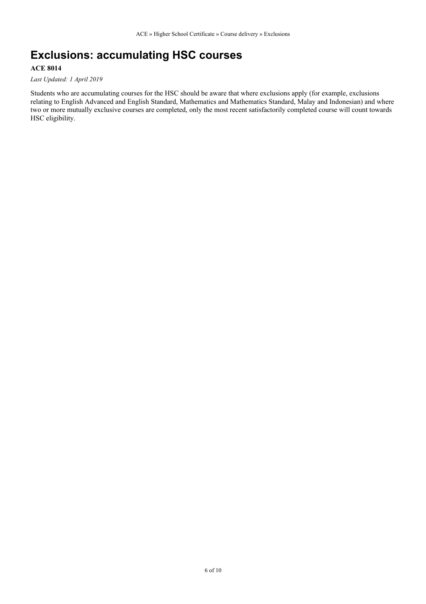# **Exclusions: accumulating HSC courses**

#### **ACE 8014**

*Last Updated: 1 April 2019*

Students who are accumulating courses for the HSC should be aware that where exclusions apply (for example, exclusions relating to English Advanced and English Standard, Mathematics and Mathematics Standard, Malay and Indonesian) and where two or more mutually exclusive courses are completed, only the most recent satisfactorily completed course will count towards HSC eligibility.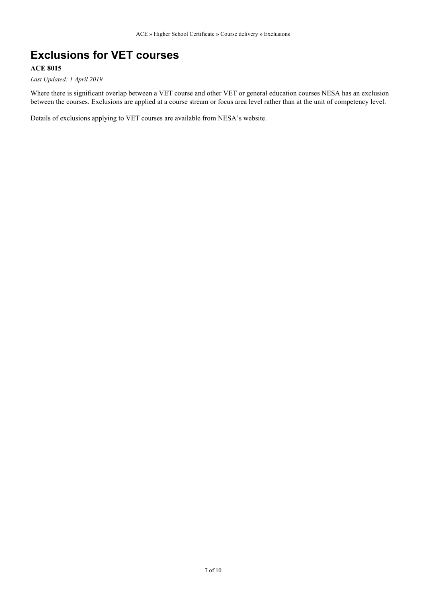# **Exclusions for VET courses**

#### **ACE 8015**

*Last Updated: 1 April 2019*

Where there is significant overlap between a VET course and other VET or general education courses NESA has an exclusion between the courses. Exclusions are applied at a course stream or focus area level rather than at the unit of competency level.

Details of exclusions applying to VET courses are available from NESA's website.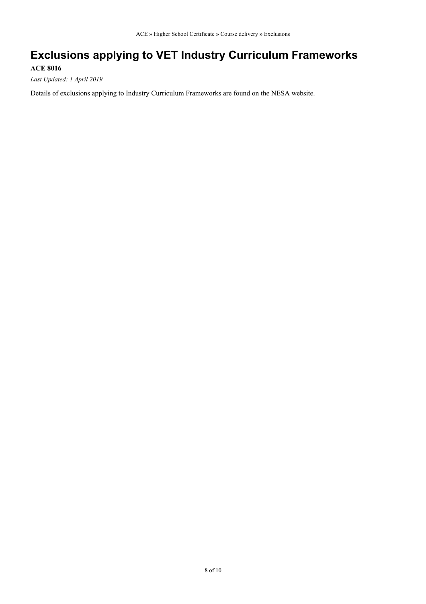# **Exclusions applying to VET Industry Curriculum Frameworks**

**ACE 8016**

*Last Updated: 1 April 2019*

Details of exclusions applying to Industry Curriculum Frameworks are found on the NESA website.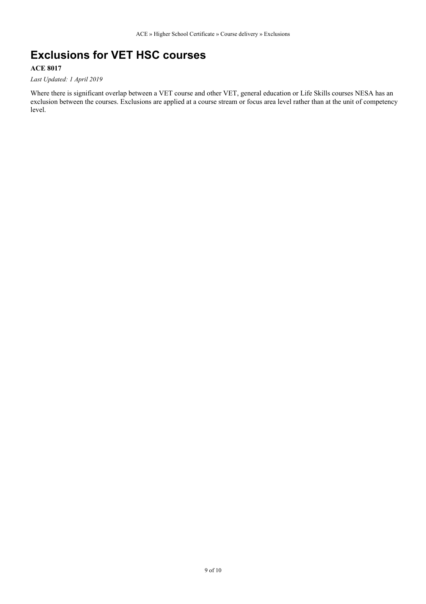### **Exclusions for VET HSC courses**

#### **ACE 8017**

*Last Updated: 1 April 2019*

Where there is significant overlap between a VET course and other VET, general education or Life Skills courses NESA has an exclusion between the courses. Exclusions are applied at a course stream or focus area level rather than at the unit of competency level.